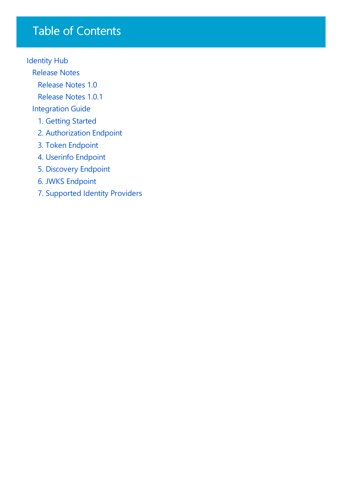# Table of Contents

[Identity](javascript:void(0)) Hub

[Release](#page-1-0) Notes

[Release](#page-2-0) Notes 1.0

[Release](#page-3-0) Notes 1.0.1

[Integration](#page-4-0) Guide

- 1. [Getting](#page-5-0) Started
- 2. [Authorization](#page-6-0) Endpoint
- 3. Token [Endpoint](#page-8-0)
- 4. Userinfo [Endpoint](#page-10-0)
- 5. [Discovery](#page-11-0) Endpoint
- 6. JWKS [Endpoint](#page-12-0)
- 7. [Supported](#page-13-0) Identity Providers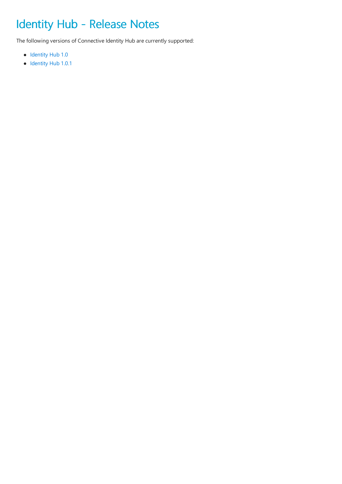# <span id="page-1-0"></span>Identity Hub - Release Notes

The following versions of Connective Identity Hub are currently supported:

- [Identity](#page-2-0) Hub 1.0
- [Identity](#page-3-0) Hub 1.0.1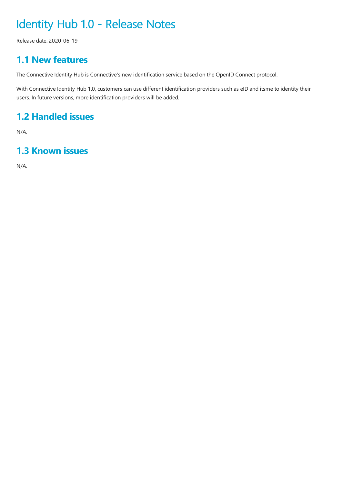# <span id="page-2-0"></span>Identity Hub 1.0 - Release Notes

Release date: 2020-06-19

### **1.1 New features**

The Connective Identity Hub is Connective's new identification service based on the OpenID Connect protocol.

With Connective Identity Hub 1.0, customers can use different identification providers such as eID and itsme to identity their users. In future versions, more identification providers will be added.

### **1.2 Handled issues**

N/A.

### **1.3 Known issues**

N/A.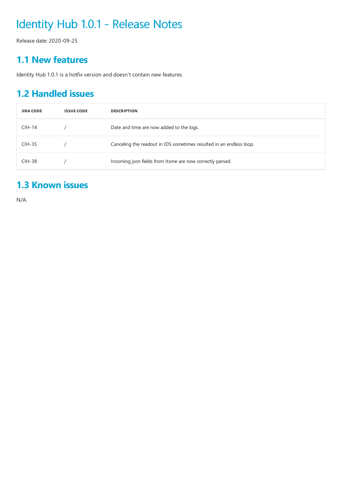# <span id="page-3-0"></span>Identity Hub 1.0.1 - Release Notes

Release date: 2020-09-25

### **1.1 New features**

Identity Hub 1.0.1 is a hotfix version and doesn't contain new features.

### **1.2 Handled issues**

| <b>JIRA CODE</b> | <b>ISSUE CODE</b> | <b>DESCRIPTION</b>                                                  |
|------------------|-------------------|---------------------------------------------------------------------|
| $CIH-14$         |                   | Date and time are now added to the logs.                            |
| $CHH-35$         |                   | Canceling the readout in IDS sometimes resulted in an endless loop. |
| $CHH-38$         |                   | Incoming json fields from Itsme are now correctly parsed.           |

### **1.3 Known issues**

N/A.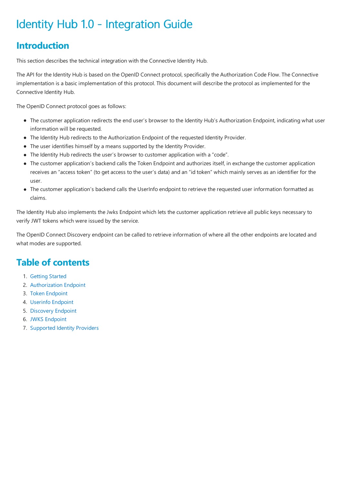# <span id="page-4-0"></span>Identity Hub 1.0 - Integration Guide

## **Introduction**

This section describes the technical integration with the Connective Identity Hub.

The API for the Identity Hub is based on the OpenID Connect protocol, specifically the Authorization Code Flow. The Connective implementation is a basic implementation of this protocol. This document will describe the protocol as implemented for the Connective Identity Hub.

The OpenID Connect protocol goes as follows:

- The customer application redirects the end user's browser to the Identity Hub's Authorization Endpoint, indicating what user information will be requested.
- The Identity Hub redirects to the Authorization Endpoint of the requested Identity Provider.
- The user identifies himself by a means supported by the Identity Provider.
- The Identity Hub redirects the user's browser to customer application with a "code".
- The customer application's backend calls the Token Endpoint and authorizes itself, in exchange the customer application receives an "access token" (to get access to the user's data) and an "id token" which mainly serves as an identifier for the user.
- The customer application's backend calls the UserInfo endpoint to retrieve the requested user information formatted as claims.

The Identity Hub also implements the Jwks Endpoint which lets the customer application retrieve all public keys necessary to verify JWT tokens which were issued by the service.

The OpenID Connect Discovery endpoint can be called to retrieve information of where all the other endpoints are located and what modes are supported.

### **Table of contents**

- 1. [Getting](#page-5-0) Started
- 2. [Authorization](#page-6-0) Endpoint
- 3. Token [Endpoint](#page-8-0)
- 4. Userinfo [Endpoint](#page-10-0)
- 5. [Discovery](#page-11-0) Endpoint
- 6. JWKS [Endpoint](#page-12-0)
- 7. [Supported](#page-13-0) Identity Providers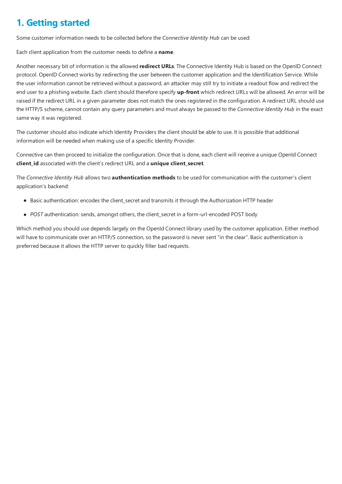### <span id="page-5-0"></span>**1. Getting started**

Some customer information needs to be collected before the *Connective Identity Hub* can be used:

Each client application from the customer needs to define a **name**.

Another necessary bit of information is the allowed redirect URLs. The Connective Identity Hub is based on the OpenID Connect protocol. OpenID Connect works by redirecting the user between the customer application and the Identification Service. While the user information cannot be retrieved without a password, an attacker may still try to initiate a readout flow and redirect the end user to a phishing website. Each client should therefore specify up-front which redirect URLs will be allowed. An error will be raised if the redirect URL in a given parameter does not match the ones registered in the configuration. A redirect URL should use the HTTP/S scheme, cannot contain any query parameters and must always be passed to the *Connective Identity Hub* in the exact same way it was registered.

The customer should also indicate which Identity Providers the client should be able to use. It is possible that additional information will be needed when making use of a specific Identity Provider.

Connective can then proceed to initialize the configuration. Once that is done, each client will receive a unique OpenId Connect **client\_id** associated with theclient's redirect URL and a **unique client\_secret**.

The *Connective Identity Hub* allows two **authentication methods** to be used for communication with thecustomer's client application's backend:

- Basic authentication: encodes the client secret and transmits it through the Authorization HTTP header
- POST authentication: sends, amongst others, the client secret in a form-url-encoded POST body

Which method you should use depends largely on the OpenId Connect library used by the customer application. Either method will have to communicate over an HTTP/S connection, so the password is never sent "in the clear". Basic authentication is preferred because it allows the HTTP server to quickly filter bad requests.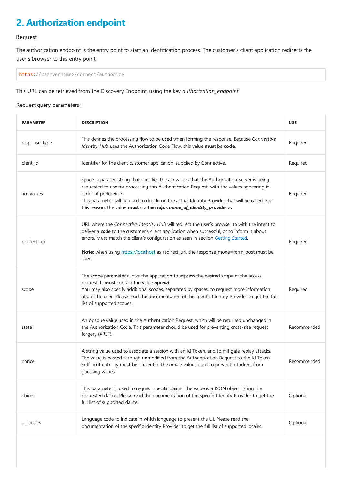# <span id="page-6-0"></span>**2. Authorization endpoint**

#### Request

The authorization endpoint is the entry point to start an identification process. The customer's client application redirects the user's browser to this entry point:

https://<servername>/connect/authorize

This URL can be retrieved from the Discovery Endpoint, using the key *authorization\_endpoint*.

Request query parameters:

| <b>PARAMETER</b> | <b>DESCRIPTION</b>                                                                                                                                                                                                                                                                                                                                                                                                             | <b>USE</b>  |
|------------------|--------------------------------------------------------------------------------------------------------------------------------------------------------------------------------------------------------------------------------------------------------------------------------------------------------------------------------------------------------------------------------------------------------------------------------|-------------|
| response_type    | This defines the processing flow to be used when forming the response. Because Connective<br>Identity Hub uses the Authorization Code Flow, this value must be code.                                                                                                                                                                                                                                                           | Required    |
| client_id        | Identifier for the client customer application, supplied by Connective.                                                                                                                                                                                                                                                                                                                                                        | Required    |
| acr_values       | Space-separated string that specifies the acr values that the Authorization Server is being<br>requested to use for processing this Authentication Request, with the values appearing in<br>order of preference.<br>This parameter will be used to decide on the actual Identity Provider that will be called. For<br>this reason, the value must contain <i>idp:<name_of_identity_provider></name_of_identity_provider></i> . | Required    |
| redirect_uri     | URL where the Connective Identity Hub will redirect the user's browser to with the intent to<br>deliver a code to the customer's client application when successful, or to inform it about<br>errors. Must match the client's configuration as seen in section Getting Started.<br>Note: when using https://localhost as redirect_uri, the response_mode=form_post must be<br>used                                             | Required    |
| scope            | The scope parameter allows the application to express the desired scope of the access<br>request. It <b>must</b> contain the value <b>openid</b> .<br>You may also specify additional scopes, separated by spaces, to request more information<br>about the user. Please read the documentation of the specific Identity Provider to get the full<br>list of supported scopes.                                                 | Required    |
| state            | An opaque value used in the Authentication Request, which will be returned unchanged in<br>the Authorization Code. This parameter should be used for preventing cross-site request<br>forgery (XRSF).                                                                                                                                                                                                                          | Recommended |
| nonce            | A string value used to associate a session with an Id Token, and to mitigate replay attacks.<br>The value is passed through unmodified from the Authentication Request to the Id Token.<br>Sufficient entropy must be present in the nonce values used to prevent attackers from<br>guessing values.                                                                                                                           | Recommended |
| claims           | This parameter is used to request specific claims. The value is a JSON object listing the<br>requested claims. Please read the documentation of the specific Identity Provider to get the<br>full list of supported claims.                                                                                                                                                                                                    | Optional    |
| ui_locales       | Language code to indicate in which language to present the UI. Please read the<br>documentation of the specific Identity Provider to get the full list of supported locales.                                                                                                                                                                                                                                                   | Optional    |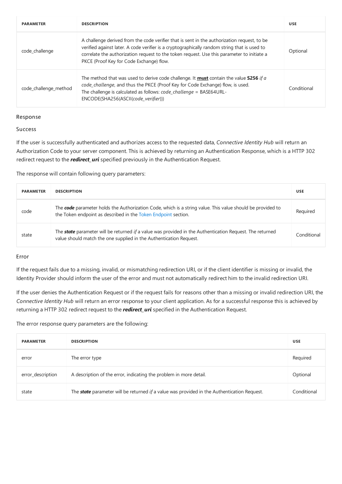| <b>PARAMETER</b>      | <b>DESCRIPTION</b>                                                                                                                                                                                                                                                                                                                    | <b>USE</b>  |
|-----------------------|---------------------------------------------------------------------------------------------------------------------------------------------------------------------------------------------------------------------------------------------------------------------------------------------------------------------------------------|-------------|
| code challenge        | A challenge derived from the code verifier that is sent in the authorization request, to be<br>verified against later. A code verifier is a cryptographically random string that is used to<br>correlate the authorization request to the token request. Use this parameter to initiate a<br>PKCE (Proof Key for Code Exchange) flow. | Optional    |
| code challenge method | The method that was used to derive code challenge. It <b>must</b> contain the value <b>S256</b> if a<br>code_challenge, and thus the PKCE (Proof Key for Code Exchange) flow, is used.<br>The challenge is calculated as follows: code_challenge = BASE64URL-<br>ENCODE(SHA256(ASCII(code verifier)))                                 | Conditional |

#### Response

#### Success

If the user is successfully authenticated and authorizes access to therequested data, *Connective Identity Hub* will return an Authorization Code to your server component. This is achieved by returning an Authentication Response, which is a HTTP 302 redirect request to the*redirect\_uri* specified previously in the Authentication Request.

The response will contain following query parameters:

| <b>PARAMETER</b> | <b>DESCRIPTION</b>                                                                                                                                                                    | <b>USE</b>  |
|------------------|---------------------------------------------------------------------------------------------------------------------------------------------------------------------------------------|-------------|
| code             | The code parameter holds the Authorization Code, which is a string value. This value should be provided to<br>the Token endpoint as described in the Token Endpoint section.          | Required    |
| state            | The <b>state</b> parameter will be returned if a value was provided in the Authentication Request. The returned<br>value should match the one supplied in the Authentication Request. | Conditional |

#### Error

If the request fails due to a missing, invalid, or mismatching redirection URI, or if the client identifier is missing or invalid, the Identity Provider should inform the user of the error and must not automatically redirect him to the invalid redirection URI.

If the user denies the Authentication Request or if the request fails for reasons other than a missing or invalid redirection URI, the *Connective Identity Hub* will return an error response to your client application. As for a successful response this is achieved by returning a HTTP 302 redirect request to the*redirect\_uri* specified in the Authentication Request.

The error response query parameters are the following:

| <b>PARAMETER</b>  | <b>DESCRIPTION</b>                                                                                 | <b>USE</b>  |
|-------------------|----------------------------------------------------------------------------------------------------|-------------|
| error             | The error type                                                                                     | Required    |
| error_description | A description of the error, indicating the problem in more detail.                                 | Optional    |
| state             | The <b>state</b> parameter will be returned if a value was provided in the Authentication Request. | Conditional |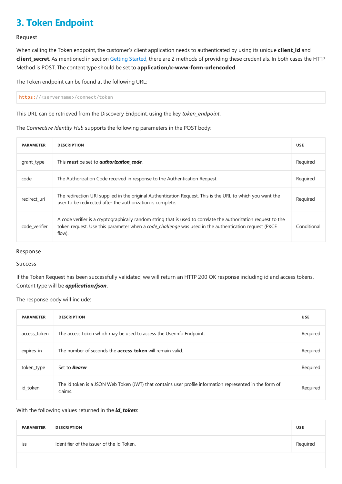# <span id="page-8-0"></span>**3. Token Endpoint**

#### Request

When calling the Token endpoint, the customer's client application needs to authenticated by using its unique **client\_id** and client\_secret. As mentioned in section [Getting](#page-5-0) Started, there are 2 methods of providing these credentials. In both cases the HTTP Method is POST. The content type should be set to **application/x-www-form-urlencoded**.

The Token endpoint can be found at the following URL:

https://<servername>/connect/token

This URL can be retrieved from the Discovery Endpoint, using the key *token\_endpoint*.

The *Connective Identity Hub* supports thefollowing parameters in the POST body:

| <b>PARAMETER</b> | <b>DESCRIPTION</b>                                                                                                                                                                                                                | <b>USE</b>  |
|------------------|-----------------------------------------------------------------------------------------------------------------------------------------------------------------------------------------------------------------------------------|-------------|
| grant_type       | This <b>must</b> be set to <b>authorization code</b> .                                                                                                                                                                            | Required    |
| code             | The Authorization Code received in response to the Authentication Request.                                                                                                                                                        | Required    |
| redirect uri     | The redirection URI supplied in the original Authentication Request. This is the URL to which you want the<br>user to be redirected after the authorization is complete.                                                          | Required    |
| code verifier    | A code verifier is a cryptographically random string that is used to correlate the authorization request to the<br>token request. Use this parameter when a code_challenge was used in the authentication request (PKCE<br>flow). | Conditional |

#### Response

#### Success

If the Token Request has been successfully validated, we will return an HTTP 200 OK response including id and access tokens. Content type will be *application/json*.

The response body will include:

| <b>PARAMETER</b> | <b>DESCRIPTION</b>                                                                                                  | <b>USE</b> |
|------------------|---------------------------------------------------------------------------------------------------------------------|------------|
| access token     | The access token which may be used to access the Userinfo Endpoint.                                                 | Required   |
| expires_in       | The number of seconds the <b>access token</b> will remain valid.                                                    | Required   |
| token_type       | Set to <b>Bearer</b>                                                                                                | Required   |
| id_token         | The id token is a JSON Web Token (JWT) that contains user profile information represented in the form of<br>claims. | Required   |

With the following values returned in the *id\_token*:

| <b>PARAMETER</b> | <b>DESCRIPTION</b>                        | <b>USE</b> |
|------------------|-------------------------------------------|------------|
| <b>ISS</b>       | Identifier of the issuer of the Id Token. | Required   |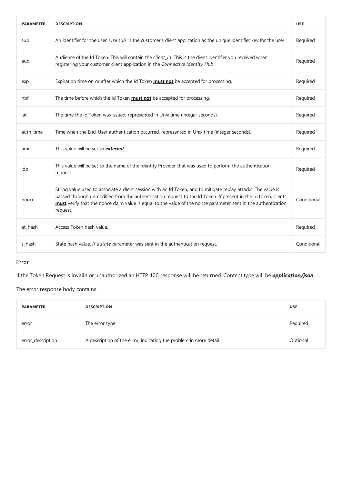| <b>PARAMETER</b> | <b>DESCRIPTION</b>                                                                                                                                                                                                                                                                                                                                             | <b>USE</b>  |
|------------------|----------------------------------------------------------------------------------------------------------------------------------------------------------------------------------------------------------------------------------------------------------------------------------------------------------------------------------------------------------------|-------------|
| sub              | An identifier for the user. Use sub in the customer's client application as the unique identifier key for the user.                                                                                                                                                                                                                                            | Required    |
| aud              | Audience of the Id Token. This will contain the client_id. This is the client identifier you received when<br>registering your customer client application in the Connective Identity Hub.                                                                                                                                                                     | Required    |
| exp              | Expiration time on or after which the Id Token <b>must not</b> be accepted for processing.                                                                                                                                                                                                                                                                     | Required    |
| nbf              | The time before which the Id Token <b>must not</b> be accepted for processing.                                                                                                                                                                                                                                                                                 | Required    |
| iat              | The time the Id Token was issued, represented in Unix time (integer seconds).                                                                                                                                                                                                                                                                                  | Required    |
| auth_time        | Time when the End-User authentication occurred, represented in Unix time (integer seconds).                                                                                                                                                                                                                                                                    | Required    |
| amr              | This value will be set to <b>external</b> .                                                                                                                                                                                                                                                                                                                    | Required    |
| idp              | This value will be set to the name of the Identity Provider that was used to perform the authentication<br>request.                                                                                                                                                                                                                                            | Required    |
| nonce            | String value used to associate a client session with an Id Token, and to mitigate replay attacks. The value is<br>passed through unmodified from the authentication request to the Id Token. If present in the Id token, clients<br>must verify that the nonce claim value is equal to the value of the nonce parameter sent in the authentication<br>request. | Conditional |
| at_hash          | Access Token hash value.                                                                                                                                                                                                                                                                                                                                       | Required    |
| s hash           | State hash value. If a state parameter was sent in the authentication request.                                                                                                                                                                                                                                                                                 | Conditional |

#### Error

If theToken Request is invalid or unauthorized an HTTP 400 response will bereturned. Content type will be *application/json*.

The error response body contains:

| <b>PARAMETER</b>  | <b>DESCRIPTION</b>                                                 | <b>USE</b> |
|-------------------|--------------------------------------------------------------------|------------|
| error             | The error type.                                                    | Required   |
| error_description | A description of the error, indicating the problem in more detail. | Optional   |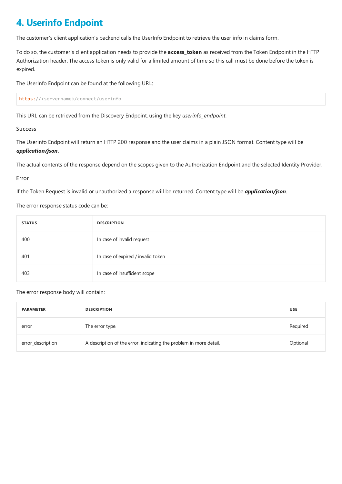# <span id="page-10-0"></span>**4. Userinfo Endpoint**

The customer's client application's backend calls the UserInfo Endpoint to retrieve the user info in claims form.

To do so, the customer's client application needs to provide the **access\_token** as received from the Token Endpoint in the HTTP Authorization header. The access token is only valid for a limited amount of time so this call must be done before the token is expired.

The UserInfo Endpoint can be found at the following URL:

https://<servername>/connect/userinfo

This URL can be retrieved from the Discovery Endpoint, using the key *userinfo\_endpoint*.

#### Success

The Userinfo Endpoint will return an HTTP 200 response and the user claims in a plain JSON format. Content type will be *application/json*.

The actual contents of the response depend on the scopes given to the Authorization Endpoint and the selected Identity Provider.

#### Error

If the Token Request is invalid or unauthorized a response will be returned. Content type will be *application/json*.

The error response status code can be:

| <b>STATUS</b> | <b>DESCRIPTION</b>                 |
|---------------|------------------------------------|
| 400           | In case of invalid request         |
| 401           | In case of expired / invalid token |
| 403           | In case of insufficient scope      |

#### The error response body will contain:

| <b>PARAMETER</b>  | <b>DESCRIPTION</b>                                                 | <b>USE</b> |
|-------------------|--------------------------------------------------------------------|------------|
| error             | The error type.                                                    | Required   |
| error_description | A description of the error, indicating the problem in more detail. | Optional   |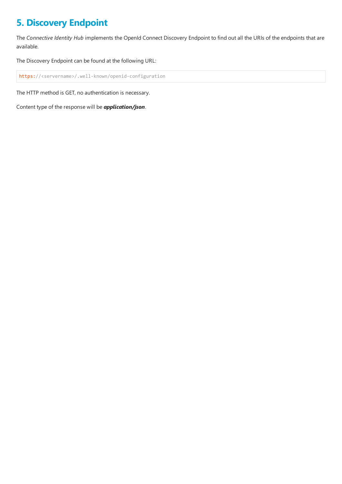## <span id="page-11-0"></span>**5. Discovery Endpoint**

The *Connective Identity Hub* implements the OpenId Connect Discovery Endpoint to find out all the URIs of the endpoints that are available.

The Discovery Endpoint can be found at the following URL:

https://<servername>/.well-known/openid-configuration

The HTTP method is GET, no authentication is necessary.

Content type of the response will be **application/json**.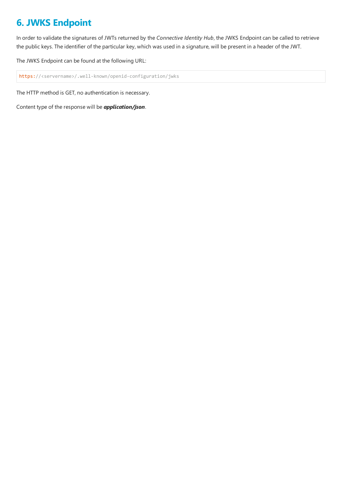# <span id="page-12-0"></span>**6. JWKS Endpoint**

In order to validate the signatures of JWTs returned by the *Connective Identity Hub*, the JWKS Endpoint can be called to retrieve the public keys. The identifier of the particular key, which was used in a signature, will be present in a header of the JWT.

The JWKS Endpoint can be found at the following URL:

https://<servername>/.well-known/openid-configuration/jwks

The HTTP method is GET, no authentication is necessary.

Content type of the response will be **application/json**.